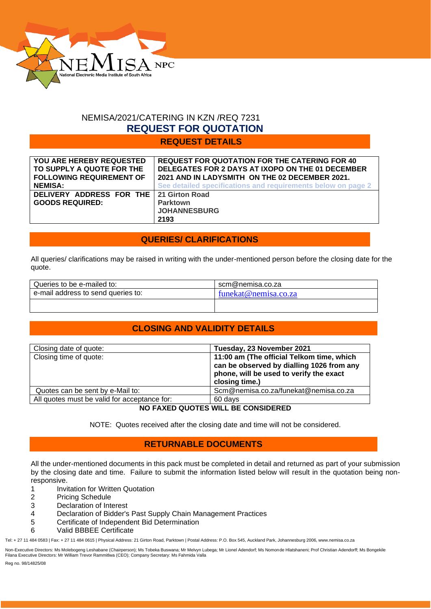

### NEMISA/2021/CATERING IN KZN /REQ 7231  **REQUEST FOR QUOTATION**

**REQUEST DETAILS**

| <b>YOU ARE HEREBY REQUESTED</b>                                   | <b>REQUEST FOR QUOTATION FOR THE CATERING FOR 40</b>         |
|-------------------------------------------------------------------|--------------------------------------------------------------|
| TO SUPPLY A QUOTE FOR THE                                         | DELEGATES FOR 2 DAYS AT IXOPO ON THE 01 DECEMBER             |
| <b>FOLLOWING REQUIREMENT OF</b>                                   | 2021 AND IN LADYSMITH ON THE 02 DECEMBER 2021.               |
| <b>NEMISA:</b>                                                    | See detailed specifications and requirements below on page 2 |
| DELIVERY ADDRESS FOR THE 21 Girton Road<br><b>GOODS REQUIRED:</b> | <b>Parktown</b><br><b>JOHANNESBURG</b><br>2193               |

### **QUERIES/ CLARIFICATIONS**

All queries/ clarifications may be raised in writing with the under-mentioned person before the closing date for the quote.

| scm@nemisa.co.za     |
|----------------------|
| funekat@nemisa.co.za |
|                      |
|                      |

### **CLOSING AND VALIDITY DETAILS**

| Closing date of quote:                       | Tuesday, 23 November 2021                                                                                                                           |  |  |
|----------------------------------------------|-----------------------------------------------------------------------------------------------------------------------------------------------------|--|--|
| Closing time of quote:                       | 11:00 am (The official Telkom time, which<br>can be observed by dialling 1026 from any<br>phone, will be used to verify the exact<br>closing time.) |  |  |
| Quotes can be sent by e-Mail to:             | Scm@nemisa.co.za/funekat@nemisa.co.za                                                                                                               |  |  |
| All quotes must be valid for acceptance for: | 60 days                                                                                                                                             |  |  |
| NO FAXED QUOTES WILL BE CONSIDERED           |                                                                                                                                                     |  |  |

NOTE: Quotes received after the closing date and time will not be considered.

### **RETURNABLE DOCUMENTS**

All the under-mentioned documents in this pack must be completed in detail and returned as part of your submission by the closing date and time. Failure to submit the information listed below will result in the quotation being nonresponsive.

1 Invitation for Written Quotation

- 2 Pricing Schedule
- 3 Declaration of Interest
- 4 Declaration of Bidder's Past Supply Chain Management Practices
- 5 Certificate of Independent Bid Determination
- 6 Valid BBBEE Certificate

Tel: + 27 11 484 0583 | Fax: + 27 11 484 0615 | Physical Address: 21 Girton Road, Parktown | Postal Address: P.O. Box 545, Auckland Park, Johannesburg 2006, www.nemisa.co.za

Non-Executive Directors: Ms Molebogeng Leshabane (Chairperson); Ms Tobeka Buswana; Mr Melvyn Lubega; Mr Lionel Adendorf; Ms Nomonde Hlatshaneni; Prof Christian Adendorff; Ms Bongekile<br>Filana Executive Directors: Mr William

Reg no. 98/14825/08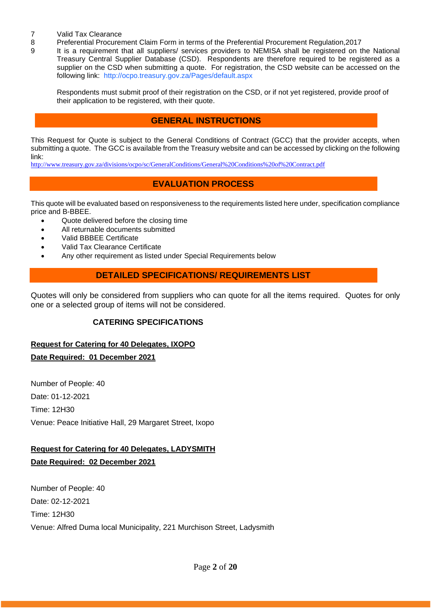- 7 Valid Tax Clearance<br>8 Preferential Procurer
- 8 Preferential Procurement Claim Form in terms of the Preferential Procurement Regulation, 2017<br>9 1t is a requirement that all suppliers/ services providers to NEMISA shall be registered on the
	- It is a requirement that all suppliers/ services providers to NEMISA shall be registered on the National Treasury Central Supplier Database (CSD). Respondents are therefore required to be registered as a supplier on the CSD when submitting a quote. For registration, the CSD website can be accessed on the following link: <http://ocpo.treasury.gov.za/Pages/default.aspx>

Respondents must submit proof of their registration on the CSD, or if not yet registered, provide proof of their application to be registered, with their quote.

### **GENERAL INSTRUCTIONS**

This Request for Quote is subject to the General Conditions of Contract (GCC) that the provider accepts, when submitting a quote. The GCC is available from the Treasury website and can be accessed by clicking on the following link:

<http://www.treasury.gov.za/divisions/ocpo/sc/GeneralConditions/General%20Conditions%20of%20Contract.pdf>

### **EVALUATION PROCESS**

This quote will be evaluated based on responsiveness to the requirements listed here under, specification compliance price and B-BBEE.

- Quote delivered before the closing time
- All returnable documents submitted
- Valid BBBEE Certificate
- Valid Tax Clearance Certificate
- Any other requirement as listed under Special Requirements below

### **DETAILED SPECIFICATIONS/ REQUIREMENTS LIST**

Quotes will only be considered from suppliers who can quote for all the items required. Quotes for only one or a selected group of items will not be considered.

### **CATERING SPECIFICATIONS**

### **Request for Catering for 40 Delegates, IXOPO**

**Date Required: 01 December 2021**

Number of People: 40 Date: 01-12-2021 Time: 12H30 Venue: Peace Initiative Hall, 29 Margaret Street, Ixopo

#### **Request for Catering for 40 Delegates, LADYSMITH**

**Date Required: 02 December 2021**

Number of People: 40 Date: 02-12-2021 Time: 12H30 Venue: Alfred Duma local Municipality, 221 Murchison Street, Ladysmith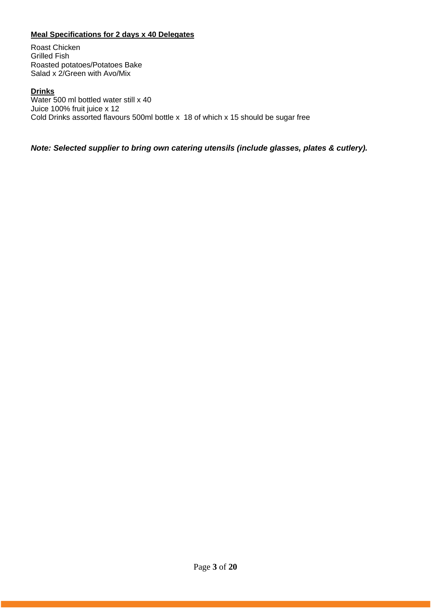### **Meal Specifications for 2 days x 40 Delegates**

Roast Chicken Grilled Fish Roasted potatoes/Potatoes Bake Salad x 2/Green with Avo/Mix

#### **Drinks**

Water 500 ml bottled water still x 40 Juice 100% fruit juice x 12 Cold Drinks assorted flavours 500ml bottle x 18 of which x 15 should be sugar free

#### *Note: Selected supplier to bring own catering utensils (include glasses, plates & cutlery).*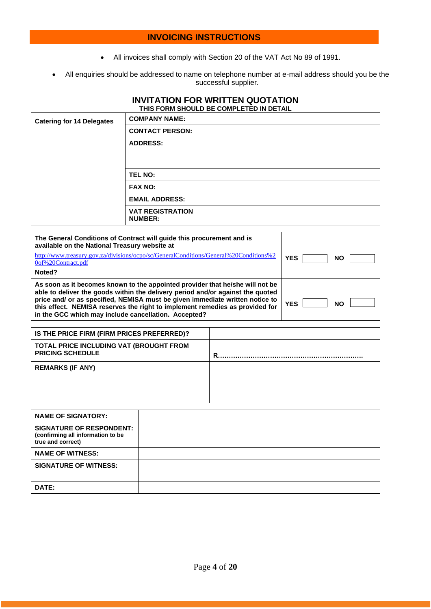#### **INVOICING INSTRUCTIONS**

- All invoices shall comply with Section 20 of the VAT Act No 89 of 1991.
- All enquiries should be addressed to name on telephone number at e-mail address should you be the successful supplier.

#### **INVITATION FOR WRITTEN QUOTATION THIS FORM SHOULD BE COMPLETED IN DETAIL**

| <b>Catering for 14 Delegates</b> | <b>COMPANY NAME:</b>                      |  |
|----------------------------------|-------------------------------------------|--|
|                                  | <b>CONTACT PERSON:</b>                    |  |
|                                  | <b>ADDRESS:</b>                           |  |
|                                  |                                           |  |
|                                  | <b>TEL NO:</b>                            |  |
|                                  | <b>FAX NO:</b>                            |  |
|                                  | <b>EMAIL ADDRESS:</b>                     |  |
|                                  | <b>VAT REGISTRATION</b><br><b>NUMBER:</b> |  |

| The General Conditions of Contract will quide this procurement and is<br>available on the National Treasury website at                                                                                                                                                                                                                                                                  |                         |
|-----------------------------------------------------------------------------------------------------------------------------------------------------------------------------------------------------------------------------------------------------------------------------------------------------------------------------------------------------------------------------------------|-------------------------|
| http://www.treasury.gov.za/divisions/ocpo/sc/GeneralConditions/General%20Conditions%2<br>0of%20Contract.pdf                                                                                                                                                                                                                                                                             | <b>YES</b><br><b>NO</b> |
| Noted?                                                                                                                                                                                                                                                                                                                                                                                  |                         |
| As soon as it becomes known to the appointed provider that he/she will not be<br>able to deliver the goods within the delivery period and/or against the quoted<br>price and/ or as specified, NEMISA must be given immediate written notice to<br>this effect. NEMISA reserves the right to implement remedies as provided for<br>in the GCC which may include cancellation. Accepted? | <b>YES</b><br><b>NO</b> |

| IS THE PRICE FIRM (FIRM PRICES PREFERRED)?                         |   |
|--------------------------------------------------------------------|---|
| TOTAL PRICE INCLUDING VAT (BROUGHT FROM<br><b>PRICING SCHEDULE</b> | R |
| <b>REMARKS (IF ANY)</b>                                            |   |

| <b>NAME OF SIGNATORY:</b>                                                                 |  |
|-------------------------------------------------------------------------------------------|--|
| <b>SIGNATURE OF RESPONDENT:</b><br>(confirming all information to be<br>true and correct) |  |
| <b>NAME OF WITNESS:</b>                                                                   |  |
| <b>SIGNATURE OF WITNESS:</b>                                                              |  |
| DATE:                                                                                     |  |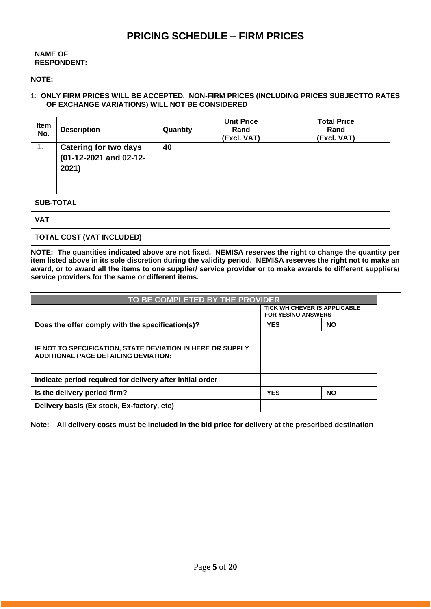#### **NAME OF RESPONDENT:**

#### **NOTE:**

#### 1: **ONLY FIRM PRICES WILL BE ACCEPTED. NON-FIRM PRICES (INCLUDING PRICES SUBJECTTO RATES OF EXCHANGE VARIATIONS) WILL NOT BE CONSIDERED**

| Item<br>No.                      | <b>Description</b>                                              | Quantity | <b>Unit Price</b><br>Rand<br>(Excl. VAT) | <b>Total Price</b><br>Rand<br>(Excl. VAT) |  |
|----------------------------------|-----------------------------------------------------------------|----------|------------------------------------------|-------------------------------------------|--|
| 1.                               | <b>Catering for two days</b><br>(01-12-2021 and 02-12-<br>2021) | 40       |                                          |                                           |  |
| <b>SUB-TOTAL</b>                 |                                                                 |          |                                          |                                           |  |
| <b>VAT</b>                       |                                                                 |          |                                          |                                           |  |
| <b>TOTAL COST (VAT INCLUDED)</b> |                                                                 |          |                                          |                                           |  |

**NOTE: The quantities indicated above are not fixed. NEMISA reserves the right to change the quantity per item listed above in its sole discretion during the validity period. NEMISA reserves the right not to make an award, or to award all the items to one supplier/ service provider or to make awards to different suppliers/ service providers for the same or different items.**

| TO BE COMPLETED BY THE PROVIDER                                                                           |                                                                  |  |           |  |
|-----------------------------------------------------------------------------------------------------------|------------------------------------------------------------------|--|-----------|--|
|                                                                                                           | <b>TICK WHICHEVER IS APPLICABLE</b><br><b>FOR YES/NO ANSWERS</b> |  |           |  |
| Does the offer comply with the specification(s)?                                                          | <b>YES</b><br><b>NO</b>                                          |  |           |  |
| IF NOT TO SPECIFICATION, STATE DEVIATION IN HERE OR SUPPLY<br><b>ADDITIONAL PAGE DETAILING DEVIATION:</b> |                                                                  |  |           |  |
| Indicate period required for delivery after initial order                                                 |                                                                  |  |           |  |
| Is the delivery period firm?                                                                              | <b>YES</b>                                                       |  | <b>NO</b> |  |
| Delivery basis (Ex stock, Ex-factory, etc)                                                                |                                                                  |  |           |  |

**Note: All delivery costs must be included in the bid price for delivery at the prescribed destination**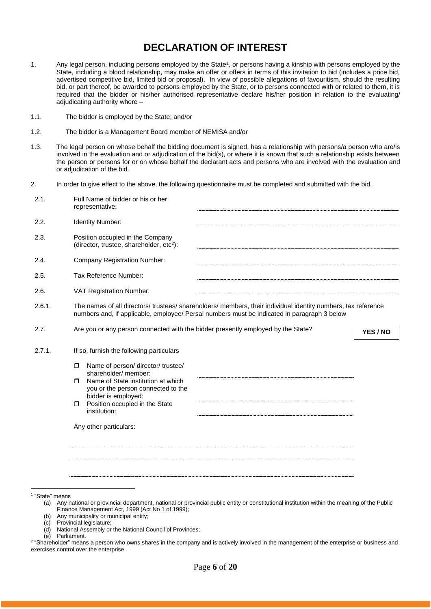## **DECLARATION OF INTEREST**

- 1. Any legal person, including persons employed by the State<sup>1</sup>, or persons having a kinship with persons employed by the State, including a blood relationship, may make an offer or offers in terms of this invitation to bid (includes a price bid, advertised competitive bid, limited bid or proposal). In view of possible allegations of favouritism, should the resulting bid, or part thereof, be awarded to persons employed by the State, or to persons connected with or related to them, it is required that the bidder or his/her authorised representative declare his/her position in relation to the evaluating/ adjudicating authority where –
- 1.1. The bidder is employed by the State; and/or
- 1.2. The bidder is a Management Board member of NEMISA and/or
- 1.3. The legal person on whose behalf the bidding document is signed, has a relationship with persons/a person who are/is involved in the evaluation and or adjudication of the bid(s), or where it is known that such a relationship exists between the person or persons for or on whose behalf the declarant acts and persons who are involved with the evaluation and or adjudication of the bid.
- 2. In order to give effect to the above, the following questionnaire must be completed and submitted with the bid.

| 2.1.   | Full Name of bidder or his or her<br>representative:                                                                                                                                                                                          |          |
|--------|-----------------------------------------------------------------------------------------------------------------------------------------------------------------------------------------------------------------------------------------------|----------|
| 2.2.   | Identity Number:                                                                                                                                                                                                                              |          |
| 2.3.   | Position occupied in the Company<br>(director, trustee, shareholder, etc <sup>2</sup> ):                                                                                                                                                      |          |
| 2.4.   | <b>Company Registration Number:</b>                                                                                                                                                                                                           |          |
| 2.5.   | Tax Reference Number:                                                                                                                                                                                                                         |          |
| 2.6.   | VAT Registration Number:                                                                                                                                                                                                                      |          |
| 2.6.1. | The names of all directors/trustees/shareholders/members, their individual identity numbers, tax reference<br>numbers and, if applicable, employee/ Persal numbers must be indicated in paragraph 3 below                                     |          |
| 2.7.   | Are you or any person connected with the bidder presently employed by the State?                                                                                                                                                              | YES / NO |
| 2.7.1. | If so, furnish the following particulars                                                                                                                                                                                                      |          |
|        | Name of person/ director/ trustee/<br>$\Box$<br>shareholder/ member:<br>Name of State institution at which<br>$\Box$<br>you or the person connected to the<br>bidder is employed:<br>Position occupied in the State<br>$\Box$<br>institution: |          |
|        | Any other particulars:                                                                                                                                                                                                                        |          |
|        |                                                                                                                                                                                                                                               |          |

1 "State" means

Parliament.

<sup>(</sup>a) Any national or provincial department, national or provincial public entity or constitutional institution within the meaning of the Public Finance Management Act, 1999 (Act No 1 of 1999);

<sup>(</sup>b) Any municipality or municipal entity;

<sup>(</sup>c) Provincial legislature;

<sup>(</sup>d) National Assembly or the National Council of Provinces;

<sup>&</sup>lt;sup>2</sup> "Shareholder" means a person who owns shares in the company and is actively involved in the management of the enterprise or business and exercises control over the enterprise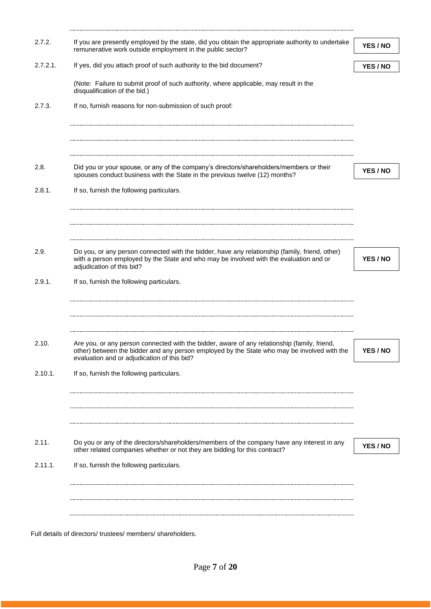| 2.7.2.      | If you are presently employed by the state, did you obtain the appropriate authority to undertake<br>remunerative work outside employment in the public sector?                                                                            | YES / NO |
|-------------|--------------------------------------------------------------------------------------------------------------------------------------------------------------------------------------------------------------------------------------------|----------|
| $2.7.2.1$ . | If yes, did you attach proof of such authority to the bid document?                                                                                                                                                                        | YES / NO |
|             | (Note: Failure to submit proof of such authority, where applicable, may result in the<br>disqualification of the bid.)                                                                                                                     |          |
| 2.7.3.      | If no, furnish reasons for non-submission of such proof:                                                                                                                                                                                   |          |
|             |                                                                                                                                                                                                                                            |          |
|             |                                                                                                                                                                                                                                            |          |
|             |                                                                                                                                                                                                                                            |          |
| 2.8.        | Did you or your spouse, or any of the company's directors/shareholders/members or their<br>spouses conduct business with the State in the previous twelve (12) months?                                                                     | YES / NO |
| 2.8.1.      | If so, furnish the following particulars.                                                                                                                                                                                                  |          |
|             |                                                                                                                                                                                                                                            |          |
|             |                                                                                                                                                                                                                                            |          |
|             |                                                                                                                                                                                                                                            |          |
| 2.9.        | Do you, or any person connected with the bidder, have any relationship (family, friend, other)                                                                                                                                             |          |
|             | with a person employed by the State and who may be involved with the evaluation and or                                                                                                                                                     | YES / NO |
|             | adjudication of this bid?                                                                                                                                                                                                                  |          |
| 2.9.1.      | If so, furnish the following particulars.                                                                                                                                                                                                  |          |
|             |                                                                                                                                                                                                                                            |          |
|             |                                                                                                                                                                                                                                            |          |
|             |                                                                                                                                                                                                                                            |          |
| 2.10.       | Are you, or any person connected with the bidder, aware of any relationship (family, friend,<br>other) between the bidder and any person employed by the State who may be involved with the<br>evaluation and or adjudication of this bid? | YES / NO |
| 2.10.1.     | If so, furnish the following particulars.                                                                                                                                                                                                  |          |
|             |                                                                                                                                                                                                                                            |          |
|             |                                                                                                                                                                                                                                            |          |
|             |                                                                                                                                                                                                                                            |          |
|             |                                                                                                                                                                                                                                            |          |
| 2.11.       | Do you or any of the directors/shareholders/members of the company have any interest in any                                                                                                                                                |          |
|             | other related companies whether or not they are bidding for this contract?                                                                                                                                                                 | YES / NO |
| 2.11.1.     | If so, furnish the following particulars.                                                                                                                                                                                                  |          |
|             |                                                                                                                                                                                                                                            |          |
|             |                                                                                                                                                                                                                                            |          |
|             |                                                                                                                                                                                                                                            |          |
|             |                                                                                                                                                                                                                                            |          |

Full details of directors/ trustees/ members/ shareholders.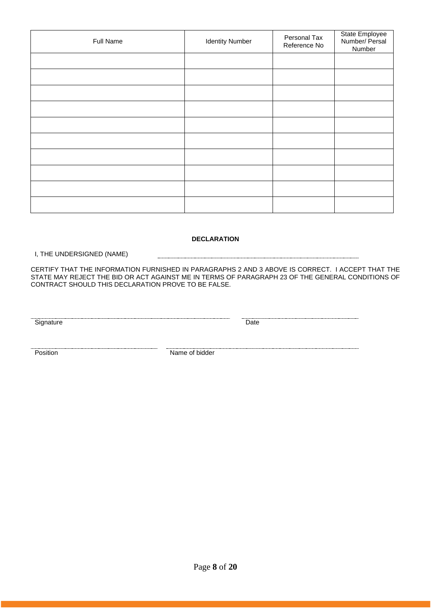| Full Name | <b>Identity Number</b> | Personal Tax<br>Reference No | State Employee<br>Number/ Persal<br>Number |
|-----------|------------------------|------------------------------|--------------------------------------------|
|           |                        |                              |                                            |
|           |                        |                              |                                            |
|           |                        |                              |                                            |
|           |                        |                              |                                            |
|           |                        |                              |                                            |
|           |                        |                              |                                            |
|           |                        |                              |                                            |
|           |                        |                              |                                            |
|           |                        |                              |                                            |
|           |                        |                              |                                            |

#### **DECLARATION**

I, THE UNDERSIGNED (NAME)

CERTIFY THAT THE INFORMATION FURNISHED IN PARAGRAPHS 2 AND 3 ABOVE IS CORRECT. I ACCEPT THAT THE STATE MAY REJECT THE BID OR ACT AGAINST ME IN TERMS OF PARAGRAPH 23 OF THE GENERAL CONDITIONS OF CONTRACT SHOULD THIS DECLARATION PROVE TO BE FALSE.

Signature Date

**Position** Name of bidder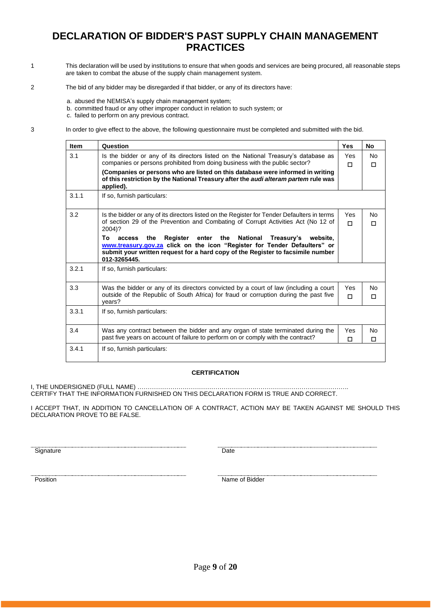### **DECLARATION OF BIDDER'S PAST SUPPLY CHAIN MANAGEMENT PRACTICES**

- 1 This declaration will be used by institutions to ensure that when goods and services are being procured, all reasonable steps are taken to combat the abuse of the supply chain management system.
- 2 The bid of any bidder may be disregarded if that bidder, or any of its directors have:
	- a. abused the NEMISA's supply chain management system;
	- b. committed fraud or any other improper conduct in relation to such system; or

c. failed to perform on any previous contract.

3 In order to give effect to the above, the following questionnaire must be completed and submitted with the bid.

| <b>Item</b> | Question                                                                                                                                                                                  | <b>Yes</b> | <b>No</b> |
|-------------|-------------------------------------------------------------------------------------------------------------------------------------------------------------------------------------------|------------|-----------|
| 3.1         | Is the bidder or any of its directors listed on the National Treasury's database as                                                                                                       | Yes        | No        |
|             | companies or persons prohibited from doing business with the public sector?                                                                                                               | П          | п         |
|             | (Companies or persons who are listed on this database were informed in writing<br>of this restriction by the National Treasury after the <i>audi alteram partem</i> rule was<br>applied). |            |           |
| 3.1.1       | If so, furnish particulars:                                                                                                                                                               |            |           |
| 3.2         | Is the bidder or any of its directors listed on the Register for Tender Defaulters in terms                                                                                               | Yes        | No        |
|             | of section 29 of the Prevention and Combating of Corrupt Activities Act (No 12 of<br>2004)?                                                                                               | п          | п         |
|             | enter the<br>National<br>To<br>the<br>Register<br>Treasury's website,<br>access                                                                                                           |            |           |
|             | www.treasury.gov.za click on the icon "Register for Tender Defaulters" or<br>submit your written request for a hard copy of the Register to facsimile number                              |            |           |
|             | 012-3265445.                                                                                                                                                                              |            |           |
| 3.2.1       | If so, furnish particulars:                                                                                                                                                               |            |           |
| 3.3         | Was the bidder or any of its directors convicted by a court of law (including a court                                                                                                     | Yes        | No        |
|             | outside of the Republic of South Africa) for fraud or corruption during the past five<br>vears?                                                                                           | п          | п         |
| 3.3.1       | If so, furnish particulars:                                                                                                                                                               |            |           |
| 3.4         | Was any contract between the bidder and any organ of state terminated during the                                                                                                          | Yes        | No        |
|             | past five years on account of failure to perform on or comply with the contract?                                                                                                          | п          | п         |
| 3.4.1       | If so, furnish particulars:                                                                                                                                                               |            |           |

#### **CERTIFICATION**

I, THE UNDERSIGNED (FULL NAME) …………………………………………………………………………………………. CERTIFY THAT THE INFORMATION FURNISHED ON THIS DECLARATION FORM IS TRUE AND CORRECT.

I ACCEPT THAT, IN ADDITION TO CANCELLATION OF A CONTRACT, ACTION MAY BE TAKEN AGAINST ME SHOULD THIS DECLARATION PROVE TO BE FALSE.

Signature Date

Position Name of Bidder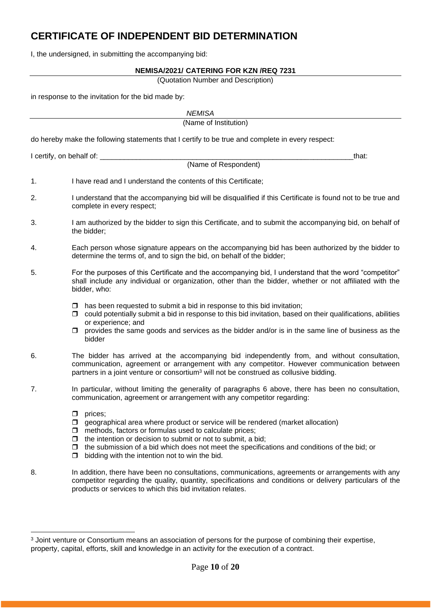## **CERTIFICATE OF INDEPENDENT BID DETERMINATION**

I, the undersigned, in submitting the accompanying bid:

#### **NEMISA/2021/ CATERING FOR KZN /REQ 7231**

(Quotation Number and Description)

in response to the invitation for the bid made by:

|    | <b>NEMISA</b>                                                                                                                                                                                                                                                                                                                                                                                             |  |
|----|-----------------------------------------------------------------------------------------------------------------------------------------------------------------------------------------------------------------------------------------------------------------------------------------------------------------------------------------------------------------------------------------------------------|--|
|    | (Name of Institution)                                                                                                                                                                                                                                                                                                                                                                                     |  |
|    | do hereby make the following statements that I certify to be true and complete in every respect:                                                                                                                                                                                                                                                                                                          |  |
|    | I certify, on behalf of: _<br>that:                                                                                                                                                                                                                                                                                                                                                                       |  |
|    | (Name of Respondent)                                                                                                                                                                                                                                                                                                                                                                                      |  |
| 1. | I have read and I understand the contents of this Certificate;                                                                                                                                                                                                                                                                                                                                            |  |
| 2. | I understand that the accompanying bid will be disqualified if this Certificate is found not to be true and<br>complete in every respect;                                                                                                                                                                                                                                                                 |  |
| 3. | I am authorized by the bidder to sign this Certificate, and to submit the accompanying bid, on behalf of<br>the bidder;                                                                                                                                                                                                                                                                                   |  |
| 4. | Each person whose signature appears on the accompanying bid has been authorized by the bidder to<br>determine the terms of, and to sign the bid, on behalf of the bidder;                                                                                                                                                                                                                                 |  |
| 5. | For the purposes of this Certificate and the accompanying bid, I understand that the word "competitor"<br>shall include any individual or organization, other than the bidder, whether or not affiliated with the<br>bidder, who:                                                                                                                                                                         |  |
|    | has been requested to submit a bid in response to this bid invitation;<br>Ω.<br>$\Box$ could potentially submit a bid in response to this bid invitation, based on their qualifications, abilities<br>or experience; and<br>provides the same goods and services as the bidder and/or is in the same line of business as the<br>bidder                                                                    |  |
| 6. | The bidder has arrived at the accompanying bid independently from, and without consultation,<br>communication, agreement or arrangement with any competitor. However communication between<br>partners in a joint venture or consortium <sup>3</sup> will not be construed as collusive bidding.                                                                                                          |  |
| 7. | In particular, without limiting the generality of paragraphs 6 above, there has been no consultation,<br>communication, agreement or arrangement with any competitor regarding:                                                                                                                                                                                                                           |  |
|    | prices;<br>□<br>geographical area where product or service will be rendered (market allocation)<br>$\Box$<br>methods, factors or formulas used to calculate prices;<br>□<br>the intention or decision to submit or not to submit, a bid;<br>□<br>the submission of a bid which does not meet the specifications and conditions of the bid; or<br>□<br>bidding with the intention not to win the bid.<br>□ |  |
| 8. | In addition, there have been no consultations, communications, agreements or arrangements with any<br>competitor regarding the quality, quantity, specifications and conditions or delivery particulars of the<br>products or services to which this bid invitation relates.                                                                                                                              |  |

<sup>&</sup>lt;sup>3</sup> Joint venture or Consortium means an association of persons for the purpose of combining their expertise, property, capital, efforts, skill and knowledge in an activity for the execution of a contract.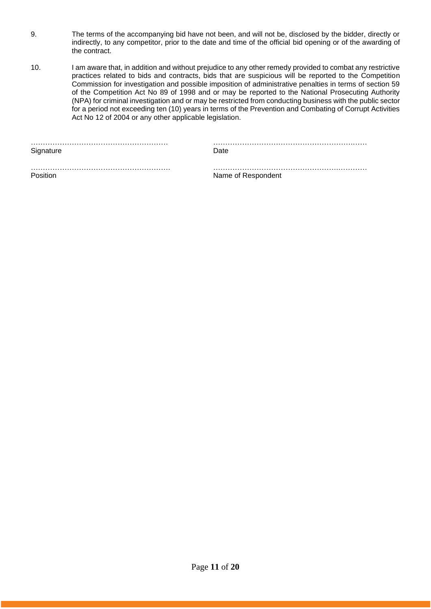- 9. The terms of the accompanying bid have not been, and will not be, disclosed by the bidder, directly or indirectly, to any competitor, prior to the date and time of the official bid opening or of the awarding of the contract.
- 10. I am aware that, in addition and without prejudice to any other remedy provided to combat any restrictive practices related to bids and contracts, bids that are suspicious will be reported to the Competition Commission for investigation and possible imposition of administrative penalties in terms of section 59 of the Competition Act No 89 of 1998 and or may be reported to the National Prosecuting Authority (NPA) for criminal investigation and or may be restricted from conducting business with the public sector for a period not exceeding ten (10) years in terms of the Prevention and Combating of Corrupt Activities Act No 12 of 2004 or any other applicable legislation.

|           | . |
|-----------|---|
| Signature |   |

………………………………………………… ………………………………………………….……

…………………………………………………. …………………………………………….………… Position **Name of Respondent**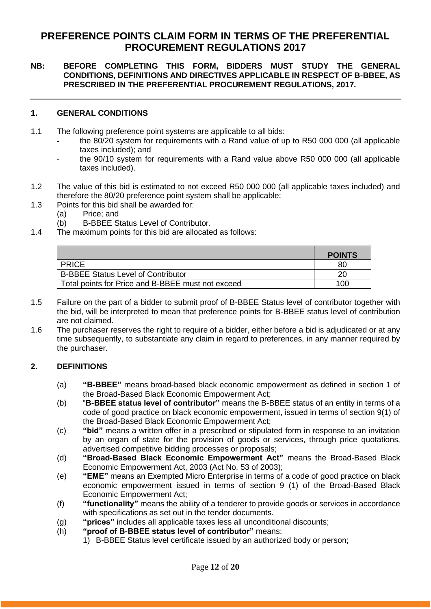### **PREFERENCE POINTS CLAIM FORM IN TERMS OF THE PREFERENTIAL PROCUREMENT REGULATIONS 2017**

#### **NB: BEFORE COMPLETING THIS FORM, BIDDERS MUST STUDY THE GENERAL CONDITIONS, DEFINITIONS AND DIRECTIVES APPLICABLE IN RESPECT OF B-BBEE, AS PRESCRIBED IN THE PREFERENTIAL PROCUREMENT REGULATIONS, 2017.**

#### **1. GENERAL CONDITIONS**

- 1.1 The following preference point systems are applicable to all bids:
	- the 80/20 system for requirements with a Rand value of up to R50 000 000 (all applicable taxes included); and
	- the 90/10 system for requirements with a Rand value above R50 000 000 (all applicable taxes included).
- 1.2 The value of this bid is estimated to not exceed R50 000 000 (all applicable taxes included) and therefore the 80/20 preference point system shall be applicable;
- 1.3 Points for this bid shall be awarded for:
	- (a) Price; and
	- (b) B-BBEE Status Level of Contributor.
- 1.4 The maximum points for this bid are allocated as follows:

|                                                   | <b>POINTS</b> |
|---------------------------------------------------|---------------|
| <b>PRICE</b>                                      | 80            |
| <b>B-BBEE Status Level of Contributor</b>         | 20            |
| Total points for Price and B-BBEE must not exceed | 100           |

- 1.5 Failure on the part of a bidder to submit proof of B-BBEE Status level of contributor together with the bid, will be interpreted to mean that preference points for B-BBEE status level of contribution are not claimed.
- 1.6 The purchaser reserves the right to require of a bidder, either before a bid is adjudicated or at any time subsequently, to substantiate any claim in regard to preferences, in any manner required by the purchaser.

### **2. DEFINITIONS**

- (a) **"B-BBEE"** means broad-based black economic empowerment as defined in section 1 of the Broad-Based Black Economic Empowerment Act;
- (b) "**B-BBEE status level of contributor"** means the B-BBEE status of an entity in terms of a code of good practice on black economic empowerment, issued in terms of section 9(1) of the Broad-Based Black Economic Empowerment Act;
- (c) **"bid"** means a written offer in a prescribed or stipulated form in response to an invitation by an organ of state for the provision of goods or services, through price quotations, advertised competitive bidding processes or proposals;
- (d) **"Broad-Based Black Economic Empowerment Act"** means the Broad-Based Black Economic Empowerment Act, 2003 (Act No. 53 of 2003);
- (e) **"EME"** means an Exempted Micro Enterprise in terms of a code of good practice on black economic empowerment issued in terms of section 9 (1) of the Broad-Based Black Economic Empowerment Act;
- (f) **"functionality"** means the ability of a tenderer to provide goods or services in accordance with specifications as set out in the tender documents.
- (g) **"prices"** includes all applicable taxes less all unconditional discounts;
- (h) **"proof of B-BBEE status level of contributor"** means:
	- 1) B-BBEE Status level certificate issued by an authorized body or person;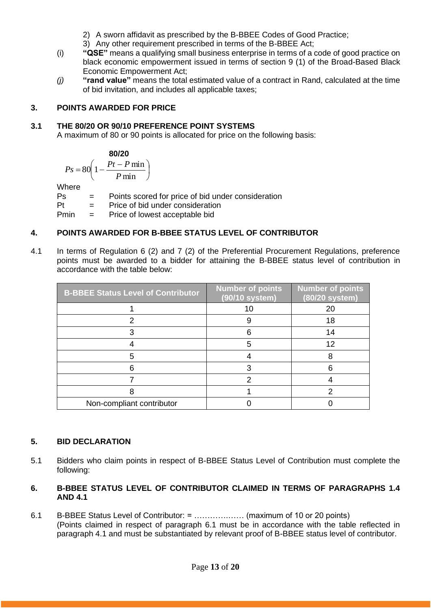- 2) A sworn affidavit as prescribed by the B-BBEE Codes of Good Practice;
- 3) Any other requirement prescribed in terms of the B-BBEE Act;
- (i) **"QSE"** means a qualifying small business enterprise in terms of a code of good practice on black economic empowerment issued in terms of section 9 (1) of the Broad-Based Black Economic Empowerment Act;
- *(j)* **"rand value"** means the total estimated value of a contract in Rand, calculated at the time of bid invitation, and includes all applicable taxes;

### **3. POINTS AWARDED FOR PRICE**

### **3.1 THE 80/20 OR 90/10 PREFERENCE POINT SYSTEMS**

A maximum of 80 or 90 points is allocated for price on the following basis:

$$
\begin{array}{c}\n80/20\n\end{array}
$$

$$
Ps = 80 \left( 1 - \frac{Pt - P \min}{P \min} \right)
$$

Where

Ps = Points scored for price of bid under consideration

Pt = Price of bid under consideration

Pmin = Price of lowest acceptable bid

### **4. POINTS AWARDED FOR B-BBEE STATUS LEVEL OF CONTRIBUTOR**

4.1 In terms of Regulation 6 (2) and 7 (2) of the Preferential Procurement Regulations, preference points must be awarded to a bidder for attaining the B-BBEE status level of contribution in accordance with the table below:

| <b>B-BBEE Status Level of Contributor</b> | <b>Number of points</b><br>(90/10 system) | <b>Number</b> of points<br>(80/20 system) |
|-------------------------------------------|-------------------------------------------|-------------------------------------------|
|                                           | 10                                        | 20                                        |
|                                           |                                           | 18                                        |
|                                           |                                           | 14                                        |
|                                           |                                           | 12                                        |
|                                           |                                           |                                           |
|                                           |                                           |                                           |
|                                           |                                           |                                           |
|                                           |                                           |                                           |
| Non-compliant contributor                 |                                           |                                           |

### **5. BID DECLARATION**

5.1 Bidders who claim points in respect of B-BBEE Status Level of Contribution must complete the following:

### **6. B-BBEE STATUS LEVEL OF CONTRIBUTOR CLAIMED IN TERMS OF PARAGRAPHS 1.4 AND 4.1**

6.1 B-BBEE Status Level of Contributor: = ………….…… (maximum of 10 or 20 points) (Points claimed in respect of paragraph 6.1 must be in accordance with the table reflected in paragraph 4.1 and must be substantiated by relevant proof of B-BBEE status level of contributor.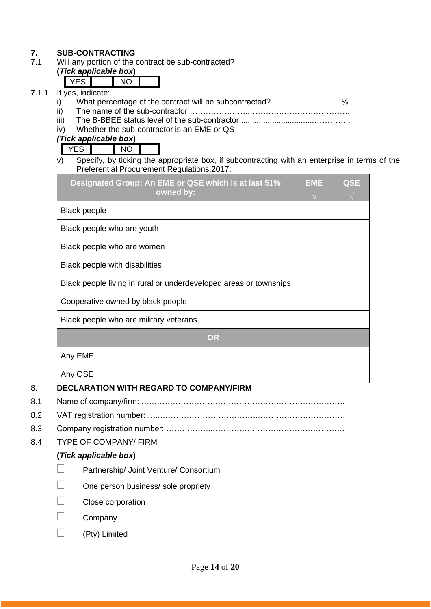# **7. SUB-CONTRACTING**<br>**7.1** Will any portion of the

Will any portion of the contract be sub-contracted?

#### **(***Tick applicable box***)**  $\nabla$ ES  $\nabla$

| If<br>wes indicate. |  |
|---------------------|--|

- 7.1.1 If  $\frac{1}{i}$ i) What percentage of the contract will be subcontracted? ............….…………%
	- ii) The name of the sub-contractor …………………..………….…………………….
	- iii) The B-BBEE status level of the sub-contractor .................................…………..
	- iv) Whether the sub-contractor is an EME or QS

*(Tick applicable box***)**

YES NO

v) Specify, by ticking the appropriate box, if subcontracting with an enterprise in terms of the Preferential Procurement Regulations,2017:

| <b>Black people</b><br>Black people who are youth<br>Black people who are women<br>Black people with disabilities<br>Black people living in rural or underdeveloped areas or townships<br>Cooperative owned by black people<br>Black people who are military veterans<br><b>OR</b> | Designated Group: An EME or QSE which is at last 51%<br>owned by: | <b>EME</b> | <b>QSE</b> |
|------------------------------------------------------------------------------------------------------------------------------------------------------------------------------------------------------------------------------------------------------------------------------------|-------------------------------------------------------------------|------------|------------|
|                                                                                                                                                                                                                                                                                    |                                                                   |            |            |
|                                                                                                                                                                                                                                                                                    |                                                                   |            |            |
|                                                                                                                                                                                                                                                                                    |                                                                   |            |            |
|                                                                                                                                                                                                                                                                                    |                                                                   |            |            |
|                                                                                                                                                                                                                                                                                    |                                                                   |            |            |
|                                                                                                                                                                                                                                                                                    |                                                                   |            |            |
|                                                                                                                                                                                                                                                                                    |                                                                   |            |            |
|                                                                                                                                                                                                                                                                                    |                                                                   |            |            |
|                                                                                                                                                                                                                                                                                    | Any EME                                                           |            |            |
| Any QSE                                                                                                                                                                                                                                                                            |                                                                   |            |            |

### 8. **DECLARATION WITH REGARD TO COMPANY/FIRM**

- 8.1 Name of company/firm: ….……………………………………………………………….
- 8.2 VAT registration number: …..……………………………….……………………………
- 8.3 Company registration number: ……….……..…………….…………………………….
- 8.4 TYPE OF COMPANY/ FIRM

### **(***Tick applicable box***)**

- Partnership/ Joint Venture/ Consortium
- One person business/ sole propriety
- Close corporation
- Company
- (Pty) Limited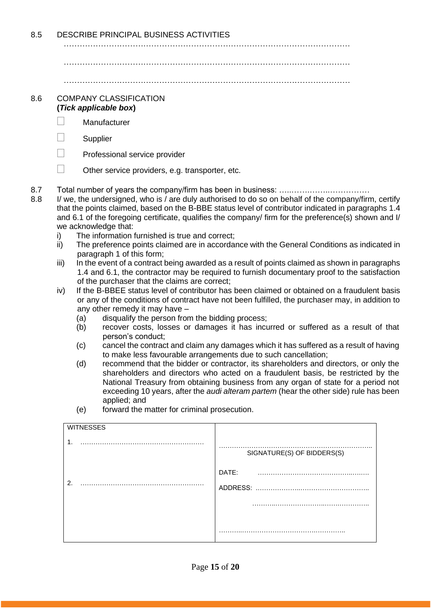8.5 DESCRIBE PRINCIPAL BUSINESS ACTIVITIES

………………………………………………………………………………………………

………………………………………………………………………………………………

………………………………………………………………………………………………

#### 8.6 COMPANY CLASSIFICATION **(***Tick applicable box***)**

- Manufacturer
- $\Box$  Supplier
- $\Box$  Professional service provider
- $\Box$  Other service providers, e.g. transporter, etc.
- 8.7 Total number of years the company/firm has been in business: ………………………………………
- 8.8 I/ we, the undersigned, who is / are duly authorised to do so on behalf of the company/firm, certify that the points claimed, based on the B-BBE status level of contributor indicated in paragraphs 1.4 and 6.1 of the foregoing certificate, qualifies the company/ firm for the preference(s) shown and I/ we acknowledge that:
	- i) The information furnished is true and correct;
	- ii) The preference points claimed are in accordance with the General Conditions as indicated in paragraph 1 of this form;
	- iii) In the event of a contract being awarded as a result of points claimed as shown in paragraphs 1.4 and 6.1, the contractor may be required to furnish documentary proof to the satisfaction of the purchaser that the claims are correct;
	- iv) If the B-BBEE status level of contributor has been claimed or obtained on a fraudulent basis or any of the conditions of contract have not been fulfilled, the purchaser may, in addition to any other remedy it may have –
		- (a) disqualify the person from the bidding process;
		- (b) recover costs, losses or damages it has incurred or suffered as a result of that person's conduct;
		- (c) cancel the contract and claim any damages which it has suffered as a result of having to make less favourable arrangements due to such cancellation;
		- (d) recommend that the bidder or contractor, its shareholders and directors, or only the shareholders and directors who acted on a fraudulent basis, be restricted by the National Treasury from obtaining business from any organ of state for a period not exceeding 10 years, after the *audi alteram partem* (hear the other side) rule has been applied; and
		- (e) forward the matter for criminal prosecution.

| <b>WITNESSES</b> |                            |
|------------------|----------------------------|
| $\mathbf 1$ .    | SIGNATURE(S) OF BIDDERS(S) |
| $\mathcal{P}$    | DATE:                      |
|                  |                            |
|                  |                            |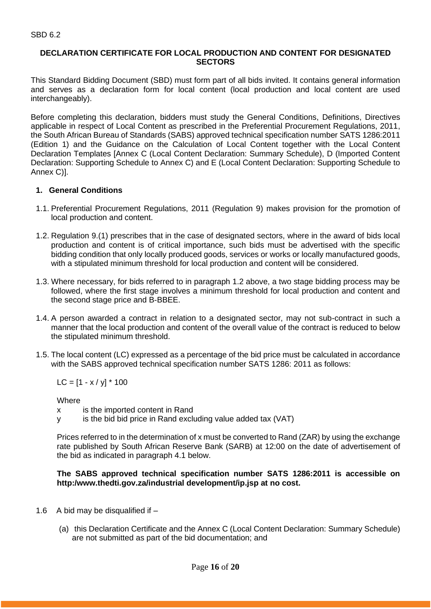#### **DECLARATION CERTIFICATE FOR LOCAL PRODUCTION AND CONTENT FOR DESIGNATED SECTORS**

This Standard Bidding Document (SBD) must form part of all bids invited. It contains general information and serves as a declaration form for local content (local production and local content are used interchangeably).

Before completing this declaration, bidders must study the General Conditions, Definitions, Directives applicable in respect of Local Content as prescribed in the Preferential Procurement Regulations, 2011, the South African Bureau of Standards (SABS) approved technical specification number SATS 1286:2011 (Edition 1) and the Guidance on the Calculation of Local Content together with the Local Content Declaration Templates [Annex C (Local Content Declaration: Summary Schedule), D (Imported Content Declaration: Supporting Schedule to Annex C) and E (Local Content Declaration: Supporting Schedule to Annex C)].

#### **1. General Conditions**

- 1.1. Preferential Procurement Regulations, 2011 (Regulation 9) makes provision for the promotion of local production and content.
- 1.2. Regulation 9.(1) prescribes that in the case of designated sectors, where in the award of bids local production and content is of critical importance, such bids must be advertised with the specific bidding condition that only locally produced goods, services or works or locally manufactured goods, with a stipulated minimum threshold for local production and content will be considered.
- 1.3. Where necessary, for bids referred to in paragraph 1.2 above, a two stage bidding process may be followed, where the first stage involves a minimum threshold for local production and content and the second stage price and B-BBEE.
- 1.4. A person awarded a contract in relation to a designated sector, may not sub-contract in such a manner that the local production and content of the overall value of the contract is reduced to below the stipulated minimum threshold.
- 1.5. The local content (LC) expressed as a percentage of the bid price must be calculated in accordance with the SABS approved technical specification number SATS 1286: 2011 as follows:

 $LC = [1 - x / y] * 100$ 

**Where** 

- x is the imported content in Rand
- y is the bid bid price in Rand excluding value added tax (VAT)

Prices referred to in the determination of x must be converted to Rand (ZAR) by using the exchange rate published by South African Reserve Bank (SARB) at 12:00 on the date of advertisement of the bid as indicated in paragraph 4.1 below.

#### **The SABS approved technical specification number SATS 1286:2011 is accessible on http:/www.thedti.gov.za/industrial development/ip.jsp at no cost.**

- 1.6 A bid may be disqualified if  $-$ 
	- (a) this Declaration Certificate and the Annex C (Local Content Declaration: Summary Schedule) are not submitted as part of the bid documentation; and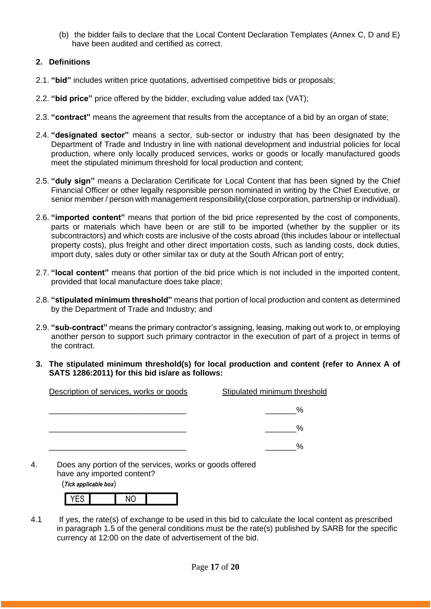(b) the bidder fails to declare that the Local Content Declaration Templates (Annex C, D and E) have been audited and certified as correct.

### **2. Definitions**

- 2.1. **"bid"** includes written price quotations, advertised competitive bids or proposals;
- 2.2. **"bid price"** price offered by the bidder, excluding value added tax (VAT);
- 2.3. **"contract"** means the agreement that results from the acceptance of a bid by an organ of state;
- 2.4. **"designated sector"** means a sector, sub-sector or industry that has been designated by the Department of Trade and Industry in line with national development and industrial policies for local production, where only locally produced services, works or goods or locally manufactured goods meet the stipulated minimum threshold for local production and content;
- 2.5. **"duly sign"** means a Declaration Certificate for Local Content that has been signed by the Chief Financial Officer or other legally responsible person nominated in writing by the Chief Executive, or senior member / person with management responsibility(close corporation, partnership or individual).
- 2.6. **"imported content"** means that portion of the bid price represented by the cost of components, parts or materials which have been or are still to be imported (whether by the supplier or its subcontractors) and which costs are inclusive of the costs abroad (this includes labour or intellectual property costs), plus freight and other direct importation costs, such as landing costs, dock duties, import duty, sales duty or other similar tax or duty at the South African port of entry;
- 2.7. **"local content"** means that portion of the bid price which is not included in the imported content, provided that local manufacture does take place;
- 2.8. **"stipulated minimum threshold"** means that portion of local production and content as determined by the Department of Trade and Industry; and
- 2.9. **"sub-contract"** means the primary contractor's assigning, leasing, making out work to, or employing another person to support such primary contractor in the execution of part of a project in terms of the contract.
- **3. The stipulated minimum threshold(s) for local production and content (refer to Annex A of SATS 1286:2011) for this bid is/are as follows:**

| Description of services, works or goods | Stipulated minimum threshold |
|-----------------------------------------|------------------------------|
|                                         | %                            |
|                                         | %                            |
|                                         | %                            |

4. Does any portion of the services, works or goods offered have any imported content?

(*Tick applicable box*)

4.1 If yes, the rate(s) of exchange to be used in this bid to calculate the local content as prescribed in paragraph 1.5 of the general conditions must be the rate(s) published by SARB for the specific currency at 12:00 on the date of advertisement of the bid.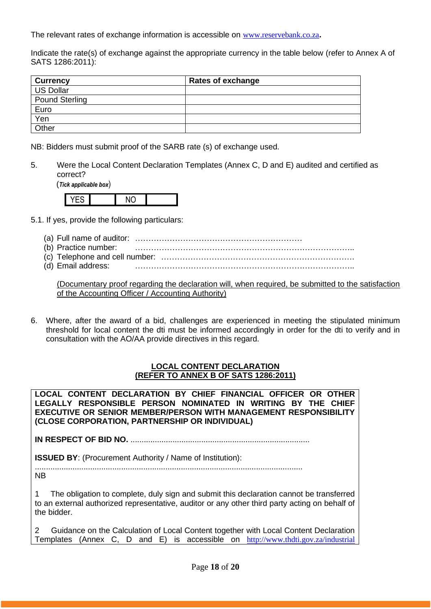The relevant rates of exchange information is accessible on [www.reservebank.co.za](http://www.reservebank.co.za/)**.**

Indicate the rate(s) of exchange against the appropriate currency in the table below (refer to Annex A of SATS 1286:2011):

| <b>Currency</b>       | <b>Rates of exchange</b> |
|-----------------------|--------------------------|
| <b>US Dollar</b>      |                          |
| <b>Pound Sterling</b> |                          |
| Euro                  |                          |
| Yen                   |                          |
| Other                 |                          |

NB: Bidders must submit proof of the SARB rate (s) of exchange used.

5. Were the Local Content Declaration Templates (Annex C, D and E) audited and certified as correct?

(*Tick applicable box*)



- 5.1. If yes, provide the following particulars:
	- (a) Full name of auditor: ………………………………………………………
	- (b) Practice number: ………………………………………………………………………..
	- (c) Telephone and cell number: ……………………………………………………………….
	- (d) Email address: ………………………………………………………………………..

(Documentary proof regarding the declaration will, when required, be submitted to the satisfaction of the Accounting Officer / Accounting Authority)

6. Where, after the award of a bid, challenges are experienced in meeting the stipulated minimum threshold for local content the dti must be informed accordingly in order for the dti to verify and in consultation with the AO/AA provide directives in this regard.

#### **LOCAL CONTENT DECLARATION (REFER TO ANNEX B OF SATS 1286:2011)**

**LOCAL CONTENT DECLARATION BY CHIEF FINANCIAL OFFICER OR OTHER LEGALLY RESPONSIBLE PERSON NOMINATED IN WRITING BY THE CHIEF EXECUTIVE OR SENIOR MEMBER/PERSON WITH MANAGEMENT RESPONSIBILITY (CLOSE CORPORATION, PARTNERSHIP OR INDIVIDUAL)** 

**IN RESPECT OF BID NO.** .................................................................................

**ISSUED BY:** (Procurement Authority / Name of Institution):

......................................................................................................................... NB

1 The obligation to complete, duly sign and submit this declaration cannot be transferred to an external authorized representative, auditor or any other third party acting on behalf of the bidder.

2 Guidance on the Calculation of Local Content together with Local Content Declaration Templates (Annex C, D and E) is accessible on [http://www.thdti.gov.za/industrial](http://www.thdti.gov.za/industrial%20development/ip.jsp)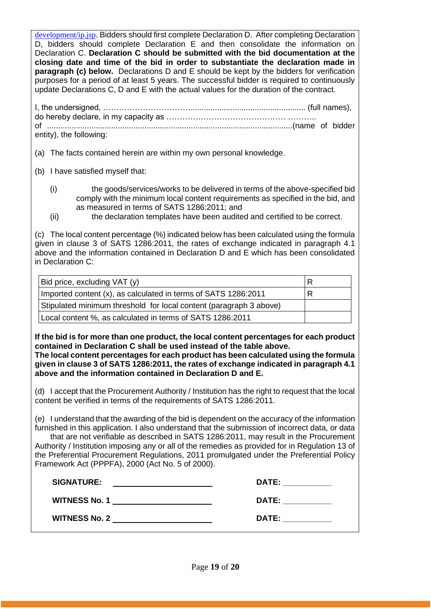[development/ip.jsp](http://www.thdti.gov.za/industrial%20development/ip.jsp). Bidders should first complete Declaration D. After completing Declaration D, bidders should complete Declaration E and then consolidate the information on Declaration C. **Declaration C should be submitted with the bid documentation at the closing date and time of the bid in order to substantiate the declaration made in paragraph (c) below.** Declarations D and E should be kept by the bidders for verification purposes for a period of at least 5 years. The successful bidder is required to continuously update Declarations C, D and E with the actual values for the duration of the contract.

| entity), the following: |  |
|-------------------------|--|

(a) The facts contained herein are within my own personal knowledge.

- (b) I have satisfied myself that:
	- (i) the goods/services/works to be delivered in terms of the above-specified bid comply with the minimum local content requirements as specified in the bid, and as measured in terms of SATS 1286:2011; and
	- (ii) the declaration templates have been audited and certified to be correct.

(c) The local content percentage (%) indicated below has been calculated using the formula given in clause 3 of SATS 1286:2011, the rates of exchange indicated in paragraph 4.1 above and the information contained in Declaration D and E which has been consolidated in Declaration C:

| Bid price, excluding VAT (y)                                       | R |
|--------------------------------------------------------------------|---|
| Imported content (x), as calculated in terms of SATS 1286:2011     | R |
| Stipulated minimum threshold for local content (paragraph 3 above) |   |
| Local content %, as calculated in terms of SATS 1286:2011          |   |

**If the bid is for more than one product, the local content percentages for each product contained in Declaration C shall be used instead of the table above.** 

**The local content percentages for each product has been calculated using the formula given in clause 3 of SATS 1286:2011, the rates of exchange indicated in paragraph 4.1 above and the information contained in Declaration D and E.**

(d) I accept that the Procurement Authority / Institution has the right to request that the local content be verified in terms of the requirements of SATS 1286:2011.

(e) I understand that the awarding of the bid is dependent on the accuracy of the information furnished in this application. I also understand that the submission of incorrect data, or data that are not verifiable as described in SATS 1286:2011, may result in the Procurement Authority / Institution imposing any or all of the remedies as provided for in Regulation 13 of the Preferential Procurement Regulations, 2011 promulgated under the Preferential Policy Framework Act (PPPFA), 2000 (Act No. 5 of 2000).

| <b>SIGNATURE:</b>    | <b>DATE:</b> |
|----------------------|--------------|
| <b>WITNESS No. 1</b> | <b>DATE:</b> |
| <b>WITNESS No. 2</b> | <b>DATE:</b> |